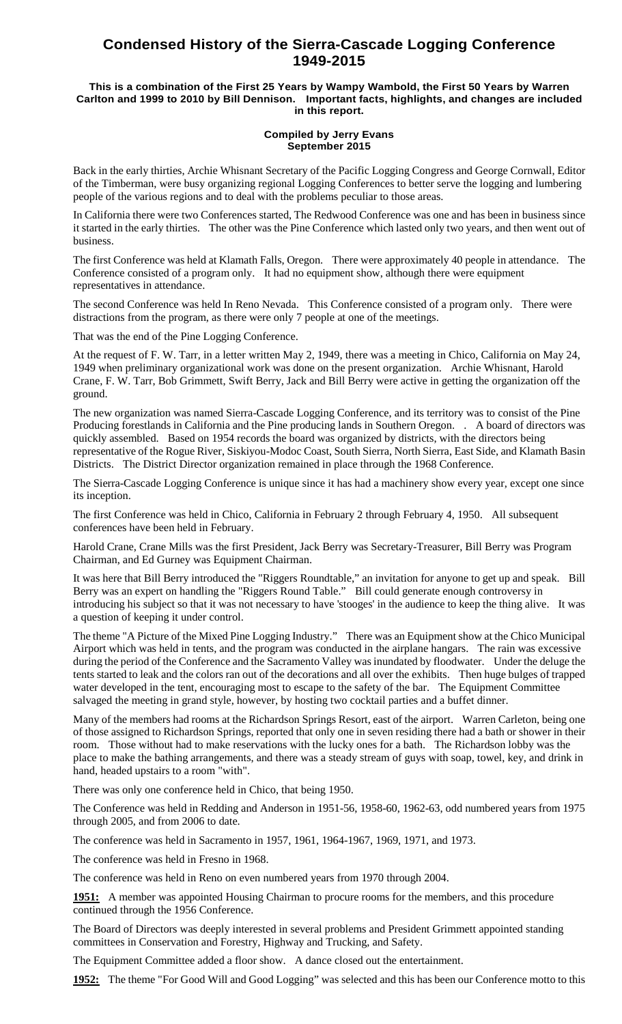## **Condensed History of the Sierra-Cascade Logging Conference 1949-2015**

## **This is a combination of the First 25 Years by Wampy Wambold, the First 50 Years by Warren Carlton and 1999 to 2010 by Bill Dennison. Important facts, highlights, and changes are included in this report.**

## **Compiled by Jerry Evans September 2015**

Back in the early thirties, Archie Whisnant Secretary of the Pacific Logging Congress and George Cornwall, Editor of the Timberman, were busy organizing regional Logging Conferences to better serve the logging and lumbering people of the various regions and to deal with the problems peculiar to those areas.

In California there were two Conferences started, The Redwood Conference was one and has been in business since it started in the early thirties. The other was the Pine Conference which lasted only two years, and then went out of business.

The first Conference was held at Klamath Falls, Oregon. There were approximately 40 people in attendance. The Conference consisted of a program only. It had no equipment show, although there were equipment representatives in attendance.

The second Conference was held In Reno Nevada. This Conference consisted of a program only. There were distractions from the program, as there were only 7 people at one of the meetings.

That was the end of the Pine Logging Conference.

At the request of F. W. Tarr, in a letter written May 2, 1949, there was a meeting in Chico, California on May 24, 1949 when preliminary organizational work was done on the present organization. Archie Whisnant, Harold Crane, F. W. Tarr, Bob Grimmett, Swift Berry, Jack and Bill Berry were active in getting the organization off the ground.

The new organization was named Sierra-Cascade Logging Conference, and its territory was to consist of the Pine Producing forestlands in California and the Pine producing lands in Southern Oregon. . A board of directors was quickly assembled. Based on 1954 records the board was organized by districts, with the directors being representative of the Rogue River, Siskiyou-Modoc Coast, South Sierra, North Sierra, East Side, and Klamath Basin Districts. The District Director organization remained in place through the 1968 Conference.

The Sierra-Cascade Logging Conference is unique since it has had a machinery show every year, except one since its inception.

The first Conference was held in Chico, California in February 2 through February 4, 1950. All subsequent conferences have been held in February.

Harold Crane, Crane Mills was the first President, Jack Berry was Secretary-Treasurer, Bill Berry was Program Chairman, and Ed Gurney was Equipment Chairman.

It was here that Bill Berry introduced the "Riggers Roundtable," an invitation for anyone to get up and speak. Bill Berry was an expert on handling the "Riggers Round Table." Bill could generate enough controversy in introducing his subject so that it was not necessary to have 'stooges' in the audience to keep the thing alive. It was a question of keeping it under control.

The theme "A Picture of the Mixed Pine Logging Industry." There was an Equipment show at the Chico Municipal Airport which was held in tents, and the program was conducted in the airplane hangars. The rain was excessive during the period of the Conference and the Sacramento Valley was inundated by floodwater. Under the deluge the tents started to leak and the colors ran out of the decorations and all over the exhibits. Then huge bulges of trapped water developed in the tent, encouraging most to escape to the safety of the bar. The Equipment Committee salvaged the meeting in grand style, however, by hosting two cocktail parties and a buffet dinner.

Many of the members had rooms at the Richardson Springs Resort, east of the airport. Warren Carleton, being one of those assigned to Richardson Springs, reported that only one in seven residing there had a bath or shower in their room. Those without had to make reservations with the lucky ones for a bath. The Richardson lobby was the place to make the bathing arrangements, and there was a steady stream of guys with soap, towel, key, and drink in hand, headed upstairs to a room "with".

There was only one conference held in Chico, that being 1950.

The Conference was held in Redding and Anderson in 1951-56, 1958-60, 1962-63, odd numbered years from 1975 through 2005, and from 2006 to date.

The conference was held in Sacramento in 1957, 1961, 1964-1967, 1969, 1971, and 1973.

The conference was held in Fresno in 1968.

The conference was held in Reno on even numbered years from 1970 through 2004.

**1951:** A member was appointed Housing Chairman to procure rooms for the members, and this procedure continued through the 1956 Conference.

The Board of Directors was deeply interested in several problems and President Grimmett appointed standing committees in Conservation and Forestry, Highway and Trucking, and Safety.

The Equipment Committee added a floor show. A dance closed out the entertainment.

**1952:** The theme "For Good Will and Good Logging" was selected and this has been our Conference motto to this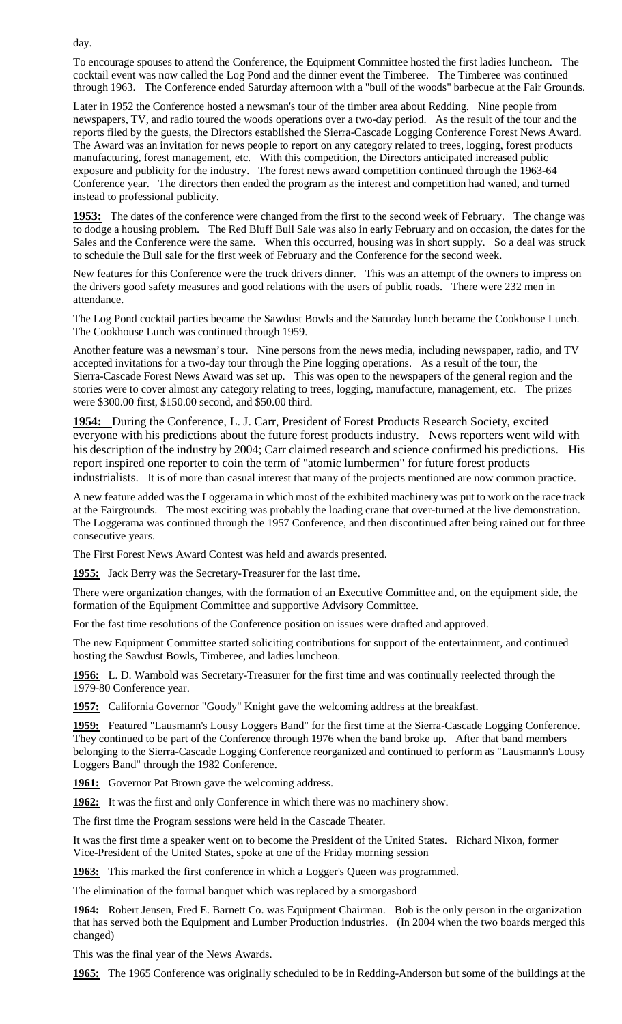day.

To encourage spouses to attend the Conference, the Equipment Committee hosted the first ladies luncheon. The cocktail event was now called the Log Pond and the dinner event the Timberee. The Timberee was continued through 1963. The Conference ended Saturday afternoon with a "bull of the woods" barbecue at the Fair Grounds.

Later in 1952 the Conference hosted a newsman's tour of the timber area about Redding. Nine people from newspapers, TV, and radio toured the woods operations over a two-day period. As the result of the tour and the reports filed by the guests, the Directors established the Sierra-Cascade Logging Conference Forest News Award. The Award was an invitation for news people to report on any category related to trees, logging, forest products manufacturing, forest management, etc. With this competition, the Directors anticipated increased public exposure and publicity for the industry. The forest news award competition continued through the 1963-64 Conference year. The directors then ended the program as the interest and competition had waned, and turned instead to professional publicity.

**1953:** The dates of the conference were changed from the first to the second week of February. The change was to dodge a housing problem. The Red Bluff Bull Sale was also in early February and on occasion, the dates for the Sales and the Conference were the same. When this occurred, housing was in short supply. So a deal was struck to schedule the Bull sale for the first week of February and the Conference for the second week.

New features for this Conference were the truck drivers dinner. This was an attempt of the owners to impress on the drivers good safety measures and good relations with the users of public roads. There were 232 men in attendance.

The Log Pond cocktail parties became the Sawdust Bowls and the Saturday lunch became the Cookhouse Lunch. The Cookhouse Lunch was continued through 1959.

Another feature was a newsman's tour. Nine persons from the news media, including newspaper, radio, and TV accepted invitations for a two-day tour through the Pine logging operations. As a result of the tour, the Sierra-Cascade Forest News Award was set up. This was open to the newspapers of the general region and the stories were to cover almost any category relating to trees, logging, manufacture, management, etc. The prizes were \$300.00 first, \$150.00 second, and \$50.00 third.

**1954:** During the Conference, L. J. Carr, President of Forest Products Research Society, excited everyone with his predictions about the future forest products industry. News reporters went wild with his description of the industry by 2004; Carr claimed research and science confirmed his predictions. His report inspired one reporter to coin the term of "atomic lumbermen" for future forest products industrialists. It is of more than casual interest that many of the projects mentioned are now common practice.

A new feature added was the Loggerama in which most of the exhibited machinery was put to work on the race track at the Fairgrounds. The most exciting was probably the loading crane that over-turned at the live demonstration. The Loggerama was continued through the 1957 Conference, and then discontinued after being rained out for three consecutive years.

The First Forest News Award Contest was held and awards presented.

**1955:** Jack Berry was the Secretary-Treasurer for the last time.

There were organization changes, with the formation of an Executive Committee and, on the equipment side, the formation of the Equipment Committee and supportive Advisory Committee.

For the fast time resolutions of the Conference position on issues were drafted and approved.

The new Equipment Committee started soliciting contributions for support of the entertainment, and continued hosting the Sawdust Bowls, Timberee, and ladies luncheon.

**1956:** L. D. Wambold was Secretary-Treasurer for the first time and was continually reelected through the 1979-80 Conference year.

**1957:** California Governor "Goody" Knight gave the welcoming address at the breakfast.

**1959:** Featured "Lausmann's Lousy Loggers Band" for the first time at the Sierra-Cascade Logging Conference. They continued to be part of the Conference through 1976 when the band broke up. After that band members belonging to the Sierra-Cascade Logging Conference reorganized and continued to perform as "Lausmann's Lousy Loggers Band" through the 1982 Conference.

**1961:** Governor Pat Brown gave the welcoming address.

**1962:** It was the first and only Conference in which there was no machinery show.

The first time the Program sessions were held in the Cascade Theater.

It was the first time a speaker went on to become the President of the United States. Richard Nixon, former Vice-President of the United States, spoke at one of the Friday morning session

**1963:** This marked the first conference in which a Logger's Queen was programmed.

The elimination of the formal banquet which was replaced by a smorgasbord

**1964:** Robert Jensen, Fred E. Barnett Co. was Equipment Chairman. Bob is the only person in the organization that has served both the Equipment and Lumber Production industries. (In 2004 when the two boards merged this changed)

This was the final year of the News Awards.

**1965:** The 1965 Conference was originally scheduled to be in Redding-Anderson but some of the buildings at the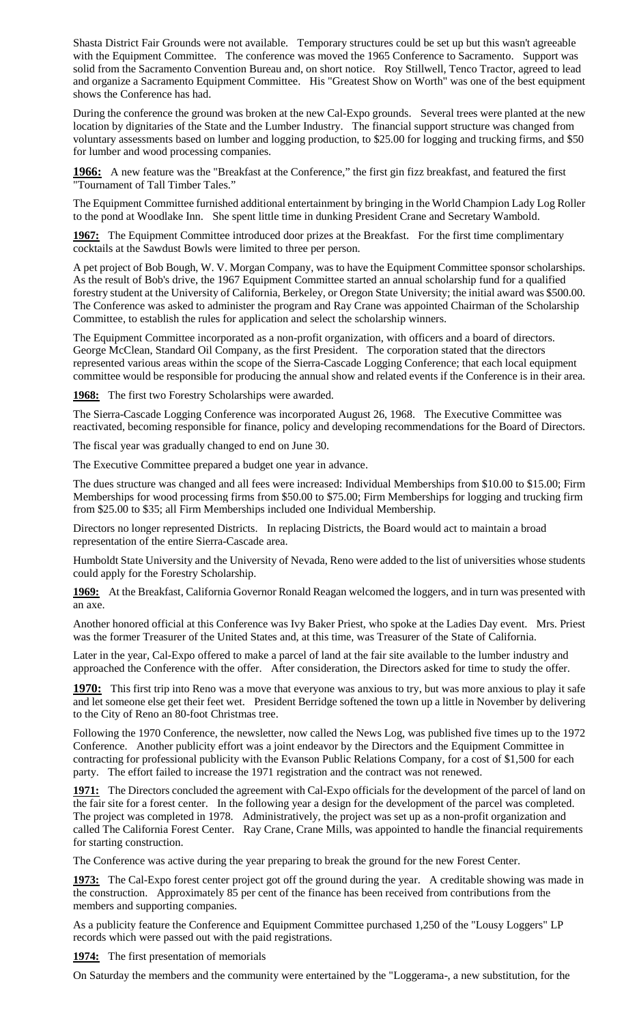Shasta District Fair Grounds were not available. Temporary structures could be set up but this wasn't agreeable with the Equipment Committee. The conference was moved the 1965 Conference to Sacramento. Support was solid from the Sacramento Convention Bureau and, on short notice. Roy Stillwell, Tenco Tractor, agreed to lead and organize a Sacramento Equipment Committee. His "Greatest Show on Worth" was one of the best equipment shows the Conference has had.

During the conference the ground was broken at the new Cal-Expo grounds. Several trees were planted at the new location by dignitaries of the State and the Lumber Industry. The financial support structure was changed from voluntary assessments based on lumber and logging production, to \$25.00 for logging and trucking firms, and \$50 for lumber and wood processing companies.

**1966:** A new feature was the "Breakfast at the Conference," the first gin fizz breakfast, and featured the first "Tournament of Tall Timber Tales."

The Equipment Committee furnished additional entertainment by bringing in the World Champion Lady Log Roller to the pond at Woodlake Inn. She spent little time in dunking President Crane and Secretary Wambold.

**1967:** The Equipment Committee introduced door prizes at the Breakfast. For the first time complimentary cocktails at the Sawdust Bowls were limited to three per person.

A pet project of Bob Bough, W. V. Morgan Company, was to have the Equipment Committee sponsor scholarships. As the result of Bob's drive, the 1967 Equipment Committee started an annual scholarship fund for a qualified forestry student at the University of California, Berkeley, or Oregon State University; the initial award was \$500.00. The Conference was asked to administer the program and Ray Crane was appointed Chairman of the Scholarship Committee, to establish the rules for application and select the scholarship winners.

The Equipment Committee incorporated as a non-profit organization, with officers and a board of directors. George McClean, Standard Oil Company, as the first President. The corporation stated that the directors represented various areas within the scope of the Sierra-Cascade Logging Conference; that each local equipment committee would be responsible for producing the annual show and related events if the Conference is in their area.

**1968:** The first two Forestry Scholarships were awarded.

The Sierra-Cascade Logging Conference was incorporated August 26, 1968. The Executive Committee was reactivated, becoming responsible for finance, policy and developing recommendations for the Board of Directors.

The fiscal year was gradually changed to end on June 30.

The Executive Committee prepared a budget one year in advance.

The dues structure was changed and all fees were increased: Individual Memberships from \$10.00 to \$15.00; Firm Memberships for wood processing firms from \$50.00 to \$75.00; Firm Memberships for logging and trucking firm from \$25.00 to \$35; all Firm Memberships included one Individual Membership.

Directors no longer represented Districts. In replacing Districts, the Board would act to maintain a broad representation of the entire Sierra-Cascade area.

Humboldt State University and the University of Nevada, Reno were added to the list of universities whose students could apply for the Forestry Scholarship.

**1969:** At the Breakfast, California Governor Ronald Reagan welcomed the loggers, and in turn was presented with an axe.

Another honored official at this Conference was Ivy Baker Priest, who spoke at the Ladies Day event. Mrs. Priest was the former Treasurer of the United States and, at this time, was Treasurer of the State of California.

Later in the year, Cal-Expo offered to make a parcel of land at the fair site available to the lumber industry and approached the Conference with the offer. After consideration, the Directors asked for time to study the offer.

**1970:** This first trip into Reno was a move that everyone was anxious to try, but was more anxious to play it safe and let someone else get their feet wet. President Berridge softened the town up a little in November by delivering to the City of Reno an 80-foot Christmas tree.

Following the 1970 Conference, the newsletter, now called the News Log, was published five times up to the 1972 Conference. Another publicity effort was a joint endeavor by the Directors and the Equipment Committee in contracting for professional publicity with the Evanson Public Relations Company, for a cost of \$1,500 for each party. The effort failed to increase the 1971 registration and the contract was not renewed.

**1971:** The Directors concluded the agreement with Cal-Expo officials for the development of the parcel of land on the fair site for a forest center. In the following year a design for the development of the parcel was completed. The project was completed in 1978. Administratively, the project was set up as a non-profit organization and called The California Forest Center. Ray Crane, Crane Mills, was appointed to handle the financial requirements for starting construction.

The Conference was active during the year preparing to break the ground for the new Forest Center.

**1973:** The Cal-Expo forest center project got off the ground during the year. A creditable showing was made in the construction. Approximately 85 per cent of the finance has been received from contributions from the members and supporting companies.

As a publicity feature the Conference and Equipment Committee purchased 1,250 of the "Lousy Loggers" LP records which were passed out with the paid registrations.

1974: The first presentation of memorials

On Saturday the members and the community were entertained by the "Loggerama-, a new substitution, for the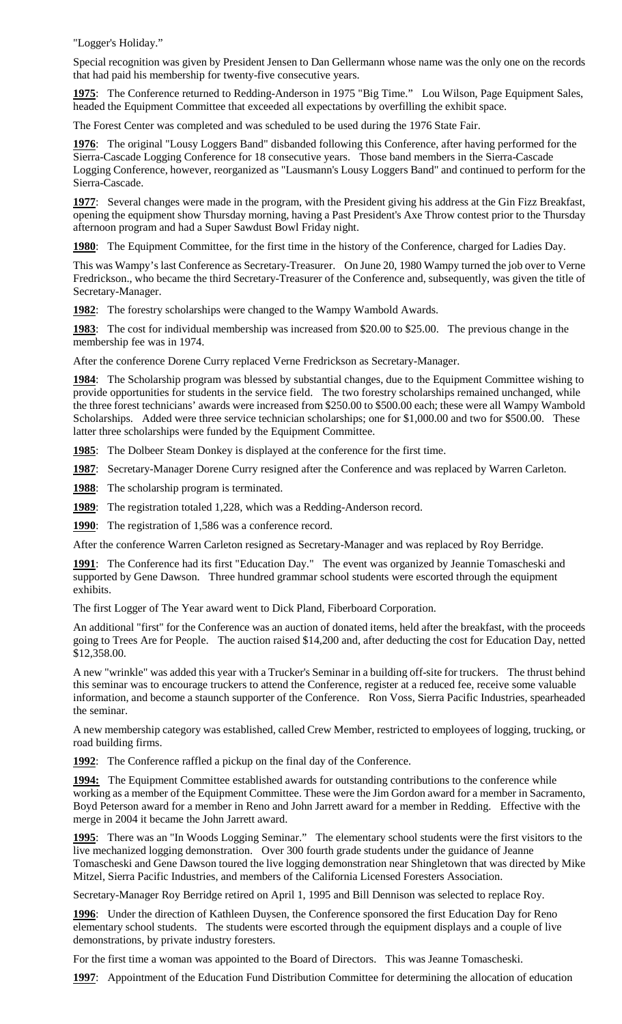"Logger's Holiday."

Special recognition was given by President Jensen to Dan Gellermann whose name was the only one on the records that had paid his membership for twenty-five consecutive years.

**1975**: The Conference returned to Redding-Anderson in 1975 "Big Time." Lou Wilson, Page Equipment Sales, headed the Equipment Committee that exceeded all expectations by overfilling the exhibit space.

The Forest Center was completed and was scheduled to be used during the 1976 State Fair.

**1976**: The original "Lousy Loggers Band" disbanded following this Conference, after having performed for the Sierra-Cascade Logging Conference for 18 consecutive years. Those band members in the Sierra-Cascade Logging Conference, however, reorganized as "Lausmann's Lousy Loggers Band" and continued to perform for the Sierra-Cascade.

**1977**: Several changes were made in the program, with the President giving his address at the Gin Fizz Breakfast, opening the equipment show Thursday morning, having a Past President's Axe Throw contest prior to the Thursday afternoon program and had a Super Sawdust Bowl Friday night.

**1980**: The Equipment Committee, for the first time in the history of the Conference, charged for Ladies Day.

This was Wampy's last Conference as Secretary-Treasurer. On June 20, 1980 Wampy turned the job over to Verne Fredrickson., who became the third Secretary-Treasurer of the Conference and, subsequently, was given the title of Secretary-Manager.

**1982**: The forestry scholarships were changed to the Wampy Wambold Awards.

**1983**: The cost for individual membership was increased from \$20.00 to \$25.00. The previous change in the membership fee was in 1974.

After the conference Dorene Curry replaced Verne Fredrickson as Secretary-Manager.

**1984**: The Scholarship program was blessed by substantial changes, due to the Equipment Committee wishing to provide opportunities for students in the service field. The two forestry scholarships remained unchanged, while the three forest technicians' awards were increased from \$250.00 to \$500.00 each; these were all Wampy Wambold Scholarships. Added were three service technician scholarships; one for \$1,000.00 and two for \$500.00. These latter three scholarships were funded by the Equipment Committee.

**1985**: The Dolbeer Steam Donkey is displayed at the conference for the first time.

**1987**: Secretary-Manager Dorene Curry resigned after the Conference and was replaced by Warren Carleton.

**1988**: The scholarship program is terminated.

**1989**: The registration totaled 1,228, which was a Redding-Anderson record.

**1990**: The registration of 1,586 was a conference record.

After the conference Warren Carleton resigned as Secretary-Manager and was replaced by Roy Berridge.

**1991**: The Conference had its first "Education Day." The event was organized by Jeannie Tomascheski and supported by Gene Dawson. Three hundred grammar school students were escorted through the equipment exhibits.

The first Logger of The Year award went to Dick Pland, Fiberboard Corporation.

An additional "first" for the Conference was an auction of donated items, held after the breakfast, with the proceeds going to Trees Are for People. The auction raised \$14,200 and, after deducting the cost for Education Day, netted \$12,358.00.

A new "wrinkle" was added this year with a Trucker's Seminar in a building off-site for truckers. The thrust behind this seminar was to encourage truckers to attend the Conference, register at a reduced fee, receive some valuable information, and become a staunch supporter of the Conference. Ron Voss, Sierra Pacific Industries, spearheaded the seminar.

A new membership category was established, called Crew Member, restricted to employees of logging, trucking, or road building firms.

**1992**: The Conference raffled a pickup on the final day of the Conference.

**1994:** The Equipment Committee established awards for outstanding contributions to the conference while working as a member of the Equipment Committee. These were the Jim Gordon award for a member in Sacramento, Boyd Peterson award for a member in Reno and John Jarrett award for a member in Redding. Effective with the merge in 2004 it became the John Jarrett award.

**1995**: There was an "In Woods Logging Seminar." The elementary school students were the first visitors to the live mechanized logging demonstration. Over 300 fourth grade students under the guidance of Jeanne Tomascheski and Gene Dawson toured the live logging demonstration near Shingletown that was directed by Mike Mitzel, Sierra Pacific Industries, and members of the California Licensed Foresters Association.

Secretary-Manager Roy Berridge retired on April 1, 1995 and Bill Dennison was selected to replace Roy.

**1996**: Under the direction of Kathleen Duysen, the Conference sponsored the first Education Day for Reno elementary school students. The students were escorted through the equipment displays and a couple of live demonstrations, by private industry foresters.

For the first time a woman was appointed to the Board of Directors. This was Jeanne Tomascheski.

**1997**: Appointment of the Education Fund Distribution Committee for determining the allocation of education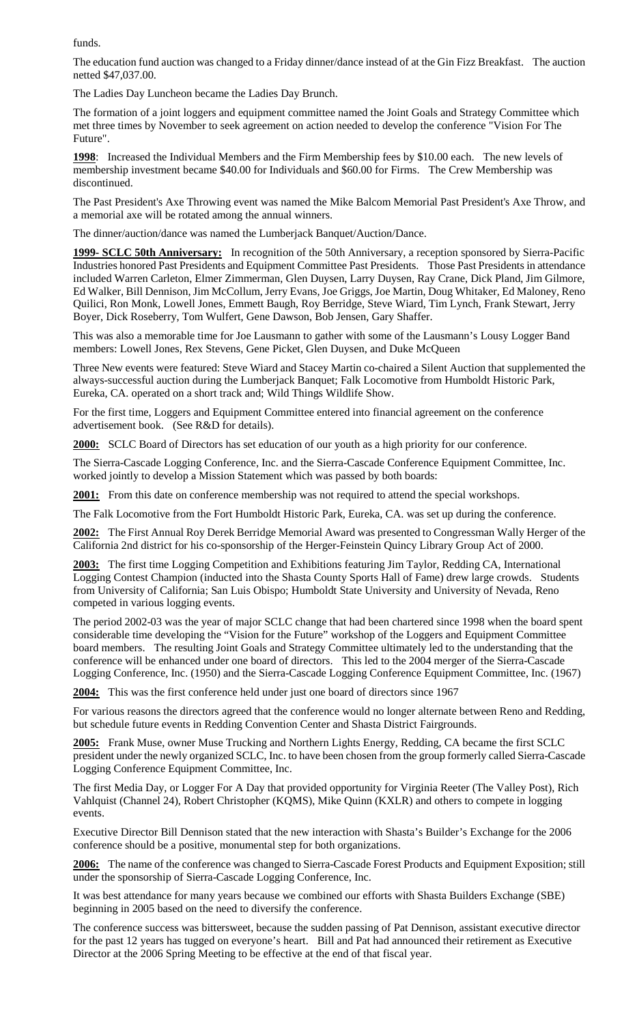funds.

The education fund auction was changed to a Friday dinner/dance instead of at the Gin Fizz Breakfast. The auction netted \$47,037.00.

The Ladies Day Luncheon became the Ladies Day Brunch.

The formation of a joint loggers and equipment committee named the Joint Goals and Strategy Committee which met three times by November to seek agreement on action needed to develop the conference "Vision For The Future".

**1998**: Increased the Individual Members and the Firm Membership fees by \$10.00 each. The new levels of membership investment became \$40.00 for Individuals and \$60.00 for Firms. The Crew Membership was discontinued.

The Past President's Axe Throwing event was named the Mike Balcom Memorial Past President's Axe Throw, and a memorial axe will be rotated among the annual winners.

The dinner/auction/dance was named the Lumberjack Banquet/Auction/Dance.

**1999- SCLC 50th Anniversary:** In recognition of the 50th Anniversary, a reception sponsored by Sierra-Pacific Industries honored Past Presidents and Equipment Committee Past Presidents. Those Past Presidents in attendance included Warren Carleton, Elmer Zimmerman, Glen Duysen, Larry Duysen, Ray Crane, Dick Pland, Jim Gilmore, Ed Walker, Bill Dennison, Jim McCollum, Jerry Evans, Joe Griggs, Joe Martin, Doug Whitaker, Ed Maloney, Reno Quilici, Ron Monk, Lowell Jones, Emmett Baugh, Roy Berridge, Steve Wiard, Tim Lynch, Frank Stewart, Jerry Boyer, Dick Roseberry, Tom Wulfert, Gene Dawson, Bob Jensen, Gary Shaffer.

This was also a memorable time for Joe Lausmann to gather with some of the Lausmann's Lousy Logger Band members: Lowell Jones, Rex Stevens, Gene Picket, Glen Duysen, and Duke McQueen

Three New events were featured: Steve Wiard and Stacey Martin co-chaired a Silent Auction that supplemented the always-successful auction during the Lumberjack Banquet; Falk Locomotive from Humboldt Historic Park, Eureka, CA. operated on a short track and; Wild Things Wildlife Show.

For the first time, Loggers and Equipment Committee entered into financial agreement on the conference advertisement book. (See R&D for details).

**2000:** SCLC Board of Directors has set education of our youth as a high priority for our conference.

The Sierra-Cascade Logging Conference, Inc. and the Sierra-Cascade Conference Equipment Committee, Inc. worked jointly to develop a Mission Statement which was passed by both boards:

**2001:** From this date on conference membership was not required to attend the special workshops.

The Falk Locomotive from the Fort Humboldt Historic Park, Eureka, CA. was set up during the conference.

**2002:** The First Annual Roy Derek Berridge Memorial Award was presented to Congressman Wally Herger of the California 2nd district for his co-sponsorship of the Herger-Feinstein Quincy Library Group Act of 2000.

**2003:** The first time Logging Competition and Exhibitions featuring Jim Taylor, Redding CA, International Logging Contest Champion (inducted into the Shasta County Sports Hall of Fame) drew large crowds. Students from University of California; San Luis Obispo; Humboldt State University and University of Nevada, Reno competed in various logging events.

The period 2002-03 was the year of major SCLC change that had been chartered since 1998 when the board spent considerable time developing the "Vision for the Future" workshop of the Loggers and Equipment Committee board members. The resulting Joint Goals and Strategy Committee ultimately led to the understanding that the conference will be enhanced under one board of directors. This led to the 2004 merger of the Sierra-Cascade Logging Conference, Inc. (1950) and the Sierra-Cascade Logging Conference Equipment Committee, Inc. (1967)

**2004:** This was the first conference held under just one board of directors since 1967

For various reasons the directors agreed that the conference would no longer alternate between Reno and Redding, but schedule future events in Redding Convention Center and Shasta District Fairgrounds.

**2005:** Frank Muse, owner Muse Trucking and Northern Lights Energy, Redding, CA became the first SCLC president under the newly organized SCLC, Inc. to have been chosen from the group formerly called Sierra-Cascade Logging Conference Equipment Committee, Inc.

The first Media Day, or Logger For A Day that provided opportunity for Virginia Reeter (The Valley Post), Rich Vahlquist (Channel 24), Robert Christopher (KQMS), Mike Quinn (KXLR) and others to compete in logging events.

Executive Director Bill Dennison stated that the new interaction with Shasta's Builder's Exchange for the 2006 conference should be a positive, monumental step for both organizations.

**2006:** The name of the conference was changed to Sierra-Cascade Forest Products and Equipment Exposition; still under the sponsorship of Sierra-Cascade Logging Conference, Inc.

It was best attendance for many years because we combined our efforts with Shasta Builders Exchange (SBE) beginning in 2005 based on the need to diversify the conference.

The conference success was bittersweet, because the sudden passing of Pat Dennison, assistant executive director for the past 12 years has tugged on everyone's heart. Bill and Pat had announced their retirement as Executive Director at the 2006 Spring Meeting to be effective at the end of that fiscal year.